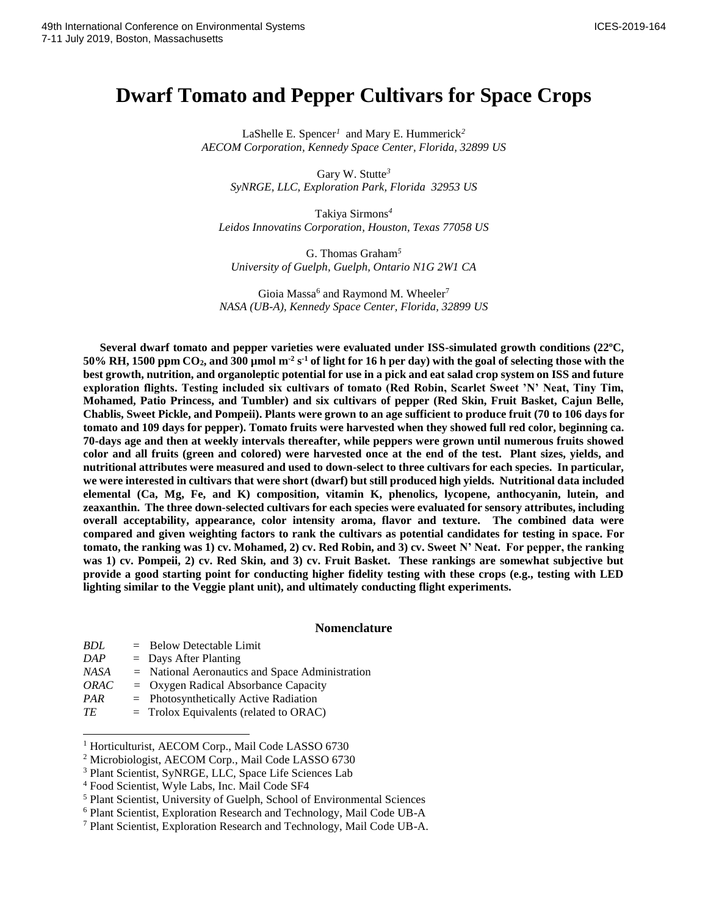# **Dwarf Tomato and Pepper Cultivars for Space Crops**

LaShelle E*.* Spencer*<sup>1</sup>* and Mary E. Hummerick*<sup>2</sup> AECOM Corporation, Kennedy Space Center, Florida, 32899 US*

Gary W. Stutte*<sup>3</sup> SyNRGE, LLC, Exploration Park, Florida 32953 US*

Takiya Sirmons*<sup>4</sup> Leidos Innovatins Corporation, Houston, Texas 77058 US*

G. Thomas Graham*<sup>5</sup> University of Guelph, Guelph, Ontario N1G 2W1 CA*

Gioia Massa<sup>6</sup> and Raymond M. Wheeler<sup>7</sup> *NASA (UB-A), Kennedy Space Center, Florida, 32899 US*

**Several dwarf tomato and pepper varieties were evaluated under ISS-simulated growth conditions (22ºC,**   $50\%$  RH, 1500 ppm CO<sub>2</sub>, and 300 µmol m<sup>-2</sup> s<sup>-1</sup> of light for 16 h per day) with the goal of selecting those with the **best growth, nutrition, and organoleptic potential for use in a pick and eat salad crop system on ISS and future exploration flights. Testing included six cultivars of tomato (Red Robin, Scarlet Sweet 'N' Neat, Tiny Tim, Mohamed, Patio Princess, and Tumbler) and six cultivars of pepper (Red Skin, Fruit Basket, Cajun Belle, Chablis, Sweet Pickle, and Pompeii). Plants were grown to an age sufficient to produce fruit (70 to 106 days for tomato and 109 days for pepper). Tomato fruits were harvested when they showed full red color, beginning ca. 70-days age and then at weekly intervals thereafter, while peppers were grown until numerous fruits showed color and all fruits (green and colored) were harvested once at the end of the test. Plant sizes, yields, and nutritional attributes were measured and used to down-select to three cultivars for each species. In particular, we were interested in cultivars that were short (dwarf) but still produced high yields. Nutritional data included elemental (Ca, Mg, Fe, and K) composition, vitamin K, phenolics, lycopene, anthocyanin, lutein, and zeaxanthin. The three down-selected cultivars for each species were evaluated for sensory attributes, including overall acceptability, appearance, color intensity aroma, flavor and texture. The combined data were compared and given weighting factors to rank the cultivars as potential candidates for testing in space. For tomato, the ranking was 1) cv. Mohamed, 2) cv. Red Robin, and 3) cv. Sweet N' Neat. For pepper, the ranking was 1) cv. Pompeii, 2) cv. Red Skin, and 3) cv. Fruit Basket. These rankings are somewhat subjective but provide a good starting point for conducting higher fidelity testing with these crops (e.g., testing with LED lighting similar to the Veggie plant unit), and ultimately conducting flight experiments.**

### **Nomenclature**

| BDL  | $=$ Below Detectable Limit                        |
|------|---------------------------------------------------|
| DAP  | $=$ Days After Planting                           |
| NASA | $=$ National Aeronautics and Space Administration |
| ORAC | $=$ Oxygen Radical Absorbance Capacity            |
| PAR  | $=$ Photosynthetically Active Radiation           |
| ТE   | $=$ Trolox Equivalents (related to ORAC)          |

<sup>&</sup>lt;sup>1</sup> Horticulturist, AECOM Corp., Mail Code LASSO 6730

 $\overline{a}$ 

<sup>2</sup> Microbiologist, AECOM Corp., Mail Code LASSO 6730

<sup>3</sup> Plant Scientist, SyNRGE, LLC, Space Life Sciences Lab

<sup>4</sup> Food Scientist, Wyle Labs, Inc. Mail Code SF4

<sup>5</sup> Plant Scientist, University of Guelph, School of Environmental Sciences

<sup>6</sup> Plant Scientist, Exploration Research and Technology, Mail Code UB-A

<sup>7</sup> Plant Scientist, Exploration Research and Technology, Mail Code UB-A.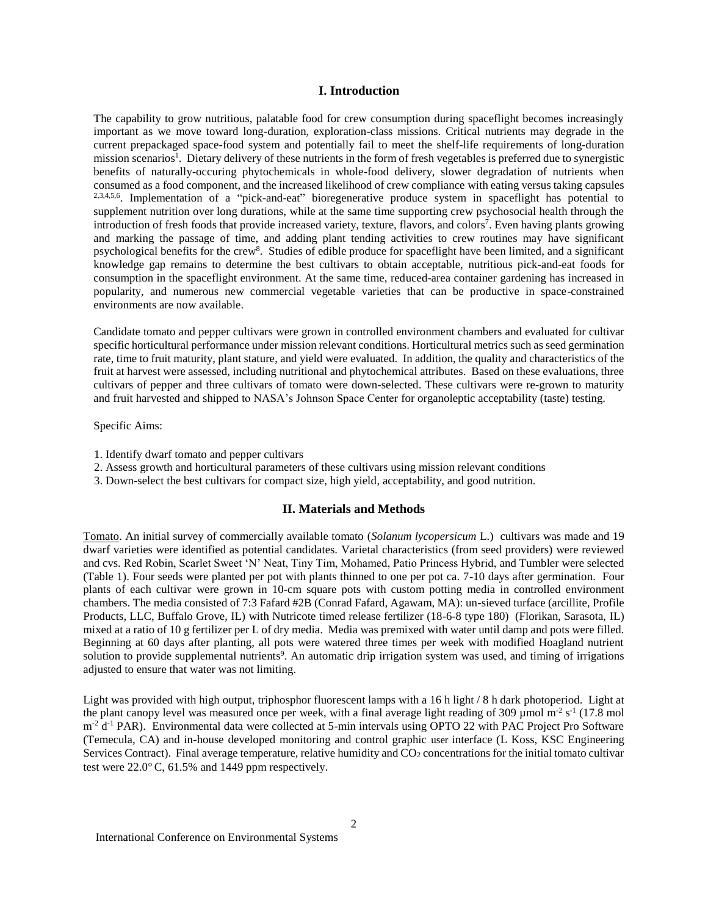### **I. Introduction**

The capability to grow nutritious, palatable food for crew consumption during spaceflight becomes increasingly important as we move toward long-duration, exploration-class missions. Critical nutrients may degrade in the current prepackaged space-food system and potentially fail to meet the shelf-life requirements of long-duration mission scenarios<sup>1</sup>. Dietary delivery of these nutrients in the form of fresh vegetables is preferred due to synergistic benefits of naturally-occuring phytochemicals in whole-food delivery, slower degradation of nutrients when consumed as a food component, and the increased likelihood of crew compliance with eating versus taking capsules 2,3,4,5,6 . Implementation of a "pick-and-eat" bioregenerative produce system in spaceflight has potential to supplement nutrition over long durations, while at the same time supporting crew psychosocial health through the introduction of fresh foods that provide increased variety, texture, flavors, and colors<sup>7</sup>. Even having plants growing and marking the passage of time, and adding plant tending activities to crew routines may have significant psychological benefits for the crew<sup>8</sup>. Studies of edible produce for spaceflight have been limited, and a significant knowledge gap remains to determine the best cultivars to obtain acceptable, nutritious pick-and-eat foods for consumption in the spaceflight environment. At the same time, reduced-area container gardening has increased in popularity, and numerous new commercial vegetable varieties that can be productive in space-constrained environments are now available.

Candidate tomato and pepper cultivars were grown in controlled environment chambers and evaluated for cultivar specific horticultural performance under mission relevant conditions. Horticultural metrics such as seed germination rate, time to fruit maturity, plant stature, and yield were evaluated. In addition, the quality and characteristics of the fruit at harvest were assessed, including nutritional and phytochemical attributes. Based on these evaluations, three cultivars of pepper and three cultivars of tomato were down-selected. These cultivars were re-grown to maturity and fruit harvested and shipped to NASA's Johnson Space Center for organoleptic acceptability (taste) testing.

## Specific Aims:

- 1. Identify dwarf tomato and pepper cultivars
- 2. Assess growth and horticultural parameters of these cultivars using mission relevant conditions
- 3. Down-select the best cultivars for compact size, high yield, acceptability, and good nutrition.

### **II. Materials and Methods**

Tomato. An initial survey of commercially available tomato (*Solanum lycopersicum* L.) cultivars was made and 19 dwarf varieties were identified as potential candidates. Varietal characteristics (from seed providers) were reviewed and cvs. Red Robin, Scarlet Sweet 'N' Neat, Tiny Tim, Mohamed, Patio Princess Hybrid, and Tumbler were selected (Table 1). Four seeds were planted per pot with plants thinned to one per pot ca. 7-10 days after germination. Four plants of each cultivar were grown in 10-cm square pots with custom potting media in controlled environment chambers. The media consisted of 7:3 Fafard #2B (Conrad Fafard, Agawam, MA): un-sieved turface (arcillite, Profile Products, LLC, Buffalo Grove, IL) with Nutricote timed release fertilizer (18-6-8 type 180) (Florikan, Sarasota, IL) mixed at a ratio of 10 g fertilizer per L of dry media. Media was premixed with water until damp and pots were filled. Beginning at 60 days after planting, all pots were watered three times per week with modified Hoagland nutrient solution to provide supplemental nutrients<sup>9</sup>. An automatic drip irrigation system was used, and timing of irrigations adjusted to ensure that water was not limiting.

Light was provided with high output, triphosphor fluorescent lamps with a 16 h light / 8 h dark photoperiod. Light at the plant canopy level was measured once per week, with a final average light reading of 309  $\mu$ mol m<sup>-2</sup> s<sup>-1</sup> (17.8 mol m<sup>-2</sup> d<sup>-1</sup> PAR). Environmental data were collected at 5-min intervals using OPTO 22 with PAC Project Pro Software (Temecula, CA) and in-house developed monitoring and control graphic user interface (L Koss, KSC Engineering Services Contract). Final average temperature, relative humidity and CO<sub>2</sub> concentrations for the initial tomato cultivar test were  $22.0^{\circ}$  C, 61.5% and 1449 ppm respectively.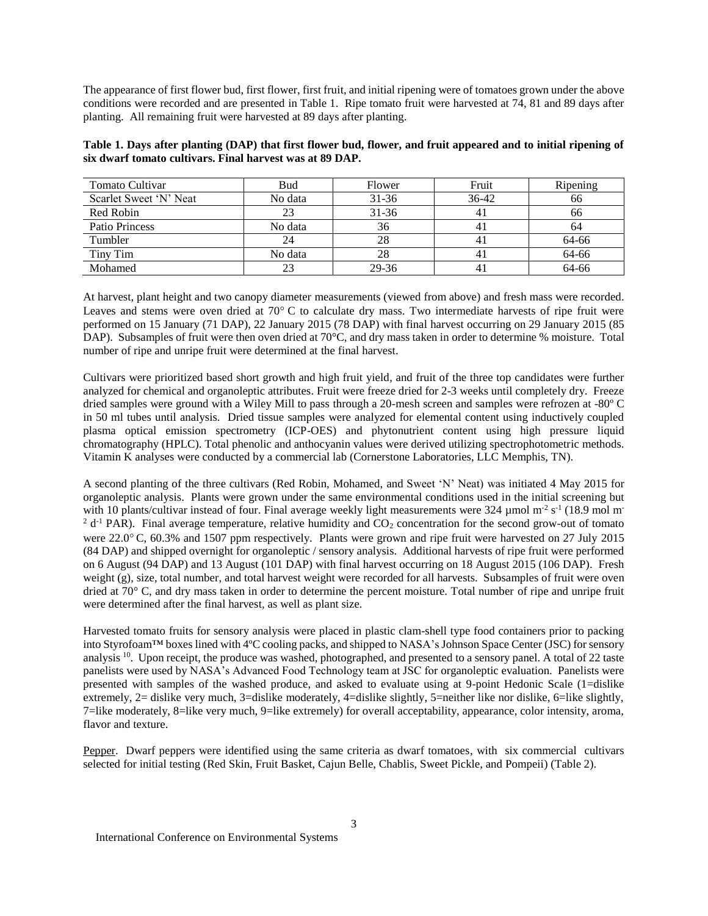The appearance of first flower bud, first flower, first fruit, and initial ripening were of tomatoes grown under the above conditions were recorded and are presented in Table 1. Ripe tomato fruit were harvested at 74, 81 and 89 days after planting. All remaining fruit were harvested at 89 days after planting.

| Table 1. Days after planting (DAP) that first flower bud, flower, and fruit appeared and to initial ripening of |  |
|-----------------------------------------------------------------------------------------------------------------|--|
| six dwarf tomato cultivars. Final harvest was at 89 DAP.                                                        |  |

| Tomato Cultivar        | <b>Bud</b> | Flower    | Fruit   | Ripening |
|------------------------|------------|-----------|---------|----------|
| Scarlet Sweet 'N' Neat | No data    | $31 - 36$ | $36-42$ | 66       |
| Red Robin              | 23         | $31 - 36$ |         | 66       |
| Patio Princess         | No data    | 36        |         | 64       |
| Tumbler                | 24         | 28        |         | 64-66    |
| Tiny Tim               | No data    | 28        |         | 64-66    |
| Mohamed                | 23         | 29-36     |         | 64-66    |

At harvest, plant height and two canopy diameter measurements (viewed from above) and fresh mass were recorded. Leaves and stems were oven dried at 70°C to calculate dry mass. Two intermediate harvests of ripe fruit were performed on 15 January (71 DAP), 22 January 2015 (78 DAP) with final harvest occurring on 29 January 2015 (85 DAP). Subsamples of fruit were then oven dried at 70°C, and dry mass taken in order to determine % moisture. Total number of ripe and unripe fruit were determined at the final harvest.

Cultivars were prioritized based short growth and high fruit yield, and fruit of the three top candidates were further analyzed for chemical and organoleptic attributes. Fruit were freeze dried for 2-3 weeks until completely dry. Freeze dried samples were ground with a Wiley Mill to pass through a 20-mesh screen and samples were refrozen at -80º C in 50 ml tubes until analysis. Dried tissue samples were analyzed for elemental content using inductively coupled plasma optical emission spectrometry (ICP-OES) and phytonutrient content using high pressure liquid chromatography (HPLC). Total phenolic and anthocyanin values were derived utilizing spectrophotometric methods. Vitamin K analyses were conducted by a commercial lab (Cornerstone Laboratories, LLC Memphis, TN).

A second planting of the three cultivars (Red Robin, Mohamed, and Sweet 'N' Neat) was initiated 4 May 2015 for organoleptic analysis. Plants were grown under the same environmental conditions used in the initial screening but with 10 plants/cultivar instead of four. Final average weekly light measurements were  $324 \mu$ mol m<sup>-2</sup> s<sup>-1</sup> (18.9 mol m<sup>-</sup>  $2 d^{-1}$  PAR). Final average temperature, relative humidity and CO<sub>2</sub> concentration for the second grow-out of tomato were 22.0° C, 60.3% and 1507 ppm respectively. Plants were grown and ripe fruit were harvested on 27 July 2015 (84 DAP) and shipped overnight for organoleptic / sensory analysis. Additional harvests of ripe fruit were performed on 6 August (94 DAP) and 13 August (101 DAP) with final harvest occurring on 18 August 2015 (106 DAP). Fresh weight (g), size, total number, and total harvest weight were recorded for all harvests. Subsamples of fruit were oven dried at 70° C, and dry mass taken in order to determine the percent moisture. Total number of ripe and unripe fruit were determined after the final harvest, as well as plant size.

Harvested tomato fruits for sensory analysis were placed in plastic clam-shell type food containers prior to packing into Styrofoam™ boxes lined with 4ºC cooling packs, and shipped to NASA's Johnson Space Center (JSC) for sensory analysis <sup>10</sup>. Upon receipt, the produce was washed, photographed, and presented to a sensory panel. A total of 22 taste panelists were used by NASA's Advanced Food Technology team at JSC for organoleptic evaluation. Panelists were presented with samples of the washed produce, and asked to evaluate using at 9-point Hedonic Scale (1=dislike extremely, 2= dislike very much, 3=dislike moderately, 4=dislike slightly, 5=neither like nor dislike, 6=like slightly, 7=like moderately, 8=like very much, 9=like extremely) for overall acceptability, appearance, color intensity, aroma, flavor and texture.

Pepper. Dwarf peppers were identified using the same criteria as dwarf tomatoes, with six commercial cultivars selected for initial testing (Red Skin, Fruit Basket, Cajun Belle, Chablis, Sweet Pickle, and Pompeii) (Table 2).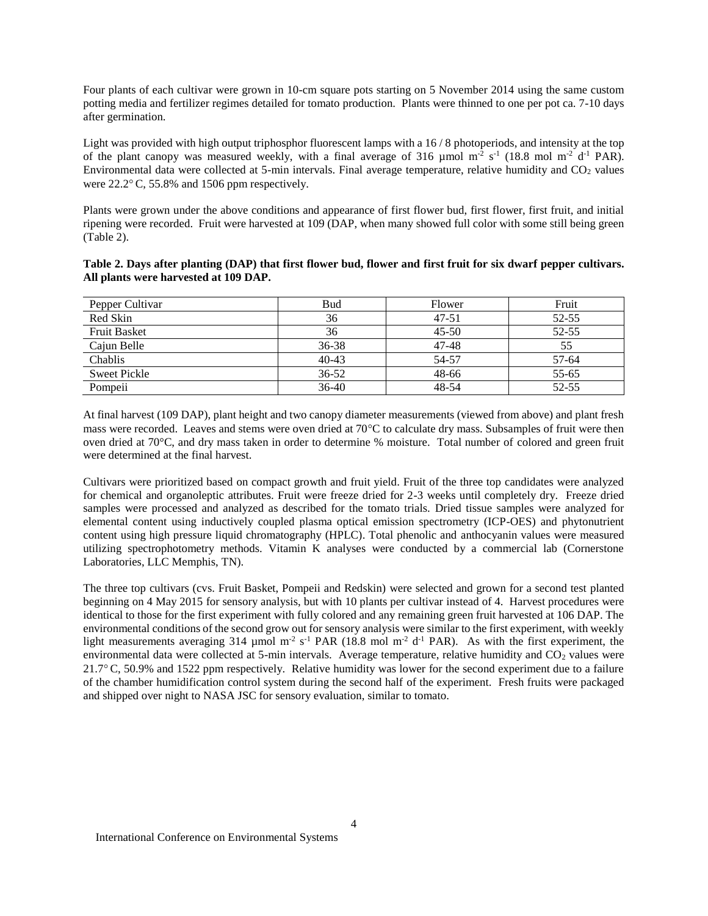Four plants of each cultivar were grown in 10-cm square pots starting on 5 November 2014 using the same custom potting media and fertilizer regimes detailed for tomato production. Plants were thinned to one per pot ca. 7-10 days after germination.

Light was provided with high output triphosphor fluorescent lamps with a 16/8 photoperiods, and intensity at the top of the plant canopy was measured weekly, with a final average of 316  $\mu$ mol m<sup>-2</sup> s<sup>-1</sup> (18.8 mol m<sup>-2</sup> d<sup>-1</sup> PAR). Environmental data were collected at 5-min intervals. Final average temperature, relative humidity and CO<sub>2</sub> values were  $22.2^{\circ}$  C, 55.8% and 1506 ppm respectively.

Plants were grown under the above conditions and appearance of first flower bud, first flower, first fruit, and initial ripening were recorded. Fruit were harvested at 109 (DAP, when many showed full color with some still being green (Table 2).

| Table 2. Days after planting (DAP) that first flower bud, flower and first fruit for six dwarf pepper cultivars. |  |  |
|------------------------------------------------------------------------------------------------------------------|--|--|
| All plants were harvested at 109 DAP.                                                                            |  |  |

| Pepper Cultivar     | <b>Bud</b> | Flower    | Fruit |
|---------------------|------------|-----------|-------|
| Red Skin            | 36         | $47 - 51$ | 52-55 |
| <b>Fruit Basket</b> | 36         | $45 - 50$ | 52-55 |
| Cajun Belle         | $36 - 38$  | 47-48     | 55    |
| Chablis             | $40 - 43$  | 54-57     | 57-64 |
| <b>Sweet Pickle</b> | $36 - 52$  | 48-66     | 55-65 |
| Pompeii             | 36-40      | 48-54     | 52-55 |

At final harvest (109 DAP), plant height and two canopy diameter measurements (viewed from above) and plant fresh mass were recorded. Leaves and stems were oven dried at  $70^{\circ}$ C to calculate dry mass. Subsamples of fruit were then oven dried at 70°C, and dry mass taken in order to determine % moisture. Total number of colored and green fruit were determined at the final harvest.

Cultivars were prioritized based on compact growth and fruit yield. Fruit of the three top candidates were analyzed for chemical and organoleptic attributes. Fruit were freeze dried for 2-3 weeks until completely dry. Freeze dried samples were processed and analyzed as described for the tomato trials. Dried tissue samples were analyzed for elemental content using inductively coupled plasma optical emission spectrometry (ICP-OES) and phytonutrient content using high pressure liquid chromatography (HPLC). Total phenolic and anthocyanin values were measured utilizing spectrophotometry methods. Vitamin K analyses were conducted by a commercial lab (Cornerstone Laboratories, LLC Memphis, TN).

The three top cultivars (cvs. Fruit Basket, Pompeii and Redskin) were selected and grown for a second test planted beginning on 4 May 2015 for sensory analysis, but with 10 plants per cultivar instead of 4. Harvest procedures were identical to those for the first experiment with fully colored and any remaining green fruit harvested at 106 DAP. The environmental conditions of the second grow out for sensory analysis were similar to the first experiment, with weekly light measurements averaging 314 µmol m<sup>-2</sup> s<sup>-1</sup> PAR (18.8 mol m<sup>-2</sup> d<sup>-1</sup> PAR). As with the first experiment, the environmental data were collected at 5-min intervals. Average temperature, relative humidity and CO<sub>2</sub> values were 21.7 $\degree$  C, 50.9% and 1522 ppm respectively. Relative humidity was lower for the second experiment due to a failure of the chamber humidification control system during the second half of the experiment. Fresh fruits were packaged and shipped over night to NASA JSC for sensory evaluation, similar to tomato.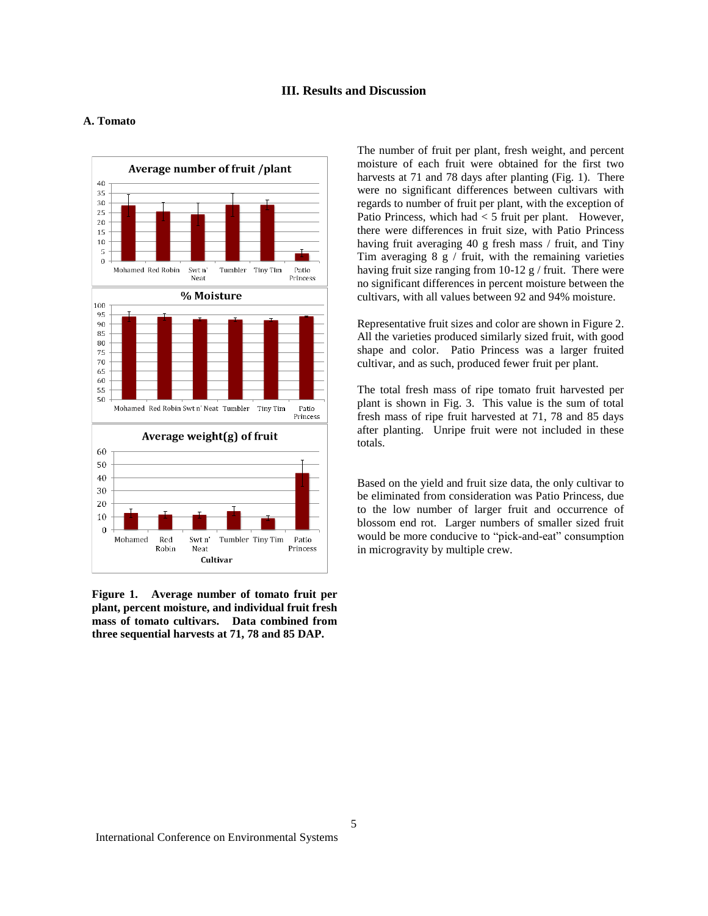### **III. Results and Discussion**

#### Average number of fruit /plant  $40$ 35  $30<sup>°</sup>$  $25$ 20  $15\,$  $10\,$ -5  $\Omega$ Mohamed Red Robin Tumbler Tiny Tim Patio Swt n' Neat Princess % Moisture  $100$ 95 90 85 80 75  $70$ 65 60 55 50 Mohamed Red Robin Swt n' Neat Tumbler Tiny Tim Patio Princess Average weight(g) of fruit 60 50 40  $30$ 20 10  $\mathbf{0}$  $_{\rm{Rad}}$ Swt n' Tumbler Tiny Tim Patio Mohamed Rohin Neat Princess Cultivar

### **A. Tomato**

**Figure 1. Average number of tomato fruit per plant, percent moisture, and individual fruit fresh mass of tomato cultivars. Data combined from three sequential harvests at 71, 78 and 85 DAP.**

The number of fruit per plant, fresh weight, and percent moisture of each fruit were obtained for the first two harvests at 71 and 78 days after planting (Fig. 1). There were no significant differences between cultivars with regards to number of fruit per plant, with the exception of Patio Princess, which had < 5 fruit per plant. However, there were differences in fruit size, with Patio Princess having fruit averaging 40 g fresh mass / fruit, and Tiny Tim averaging  $8 \times$  fruit, with the remaining varieties having fruit size ranging from 10-12 g / fruit. There were no significant differences in percent moisture between the cultivars, with all values between 92 and 94% moisture.

Representative fruit sizes and color are shown in Figure 2. All the varieties produced similarly sized fruit, with good shape and color. Patio Princess was a larger fruited cultivar, and as such, produced fewer fruit per plant.

The total fresh mass of ripe tomato fruit harvested per plant is shown in Fig. 3. This value is the sum of total fresh mass of ripe fruit harvested at 71, 78 and 85 days after planting. Unripe fruit were not included in these totals.

Based on the yield and fruit size data, the only cultivar to be eliminated from consideration was Patio Princess, due to the low number of larger fruit and occurrence of blossom end rot. Larger numbers of smaller sized fruit would be more conducive to "pick-and-eat" consumption in microgravity by multiple crew.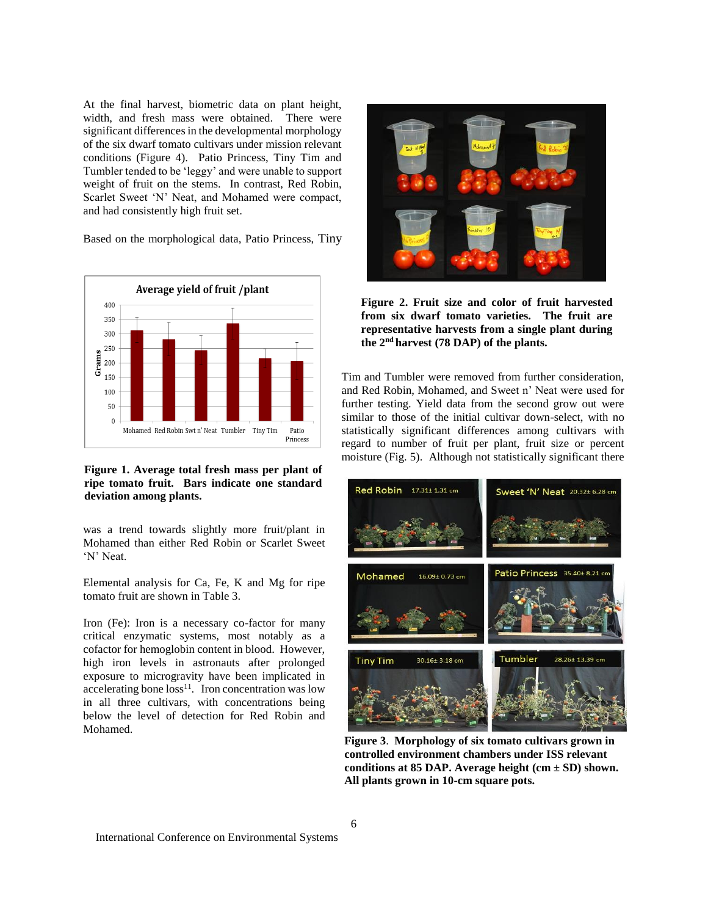At the final harvest, biometric data on plant height, width, and fresh mass were obtained. There were significant differences in the developmental morphology of the six dwarf tomato cultivars under mission relevant conditions (Figure 4). Patio Princess, Tiny Tim and Tumbler tended to be 'leggy' and were unable to support weight of fruit on the stems. In contrast, Red Robin, Scarlet Sweet 'N' Neat, and Mohamed were compact, and had consistently high fruit set.

Based on the morphological data, Patio Princess, Tiny



**Figure 1. Average total fresh mass per plant of ripe tomato fruit. Bars indicate one standard deviation among plants.**

was a trend towards slightly more fruit/plant in Mohamed than either Red Robin or Scarlet Sweet 'N' Neat.

Elemental analysis for Ca, Fe, K and Mg for ripe tomato fruit are shown in Table 3.

Iron (Fe): Iron is a necessary co-factor for many critical enzymatic systems, most notably as a cofactor for hemoglobin content in blood. However, high iron levels in astronauts after prolonged exposure to microgravity have been implicated in accelerating bone  $loss<sup>11</sup>$ . Iron concentration was low in all three cultivars, with concentrations being below the level of detection for Red Robin and Mohamed.



**Figure 2. Fruit size and color of fruit harvested from six dwarf tomato varieties. The fruit are representative harvests from a single plant during the 2nd harvest (78 DAP) of the plants.**

Tim and Tumbler were removed from further consideration, and Red Robin, Mohamed, and Sweet n' Neat were used for further testing. Yield data from the second grow out were similar to those of the initial cultivar down-select, with no statistically significant differences among cultivars with regard to number of fruit per plant, fruit size or percent moisture (Fig. 5). Although not statistically significant there



**Figure 3**. **Morphology of six tomato cultivars grown in controlled environment chambers under ISS relevant conditions at 85 DAP. Average height (cm ± SD) shown. All plants grown in 10-cm square pots.**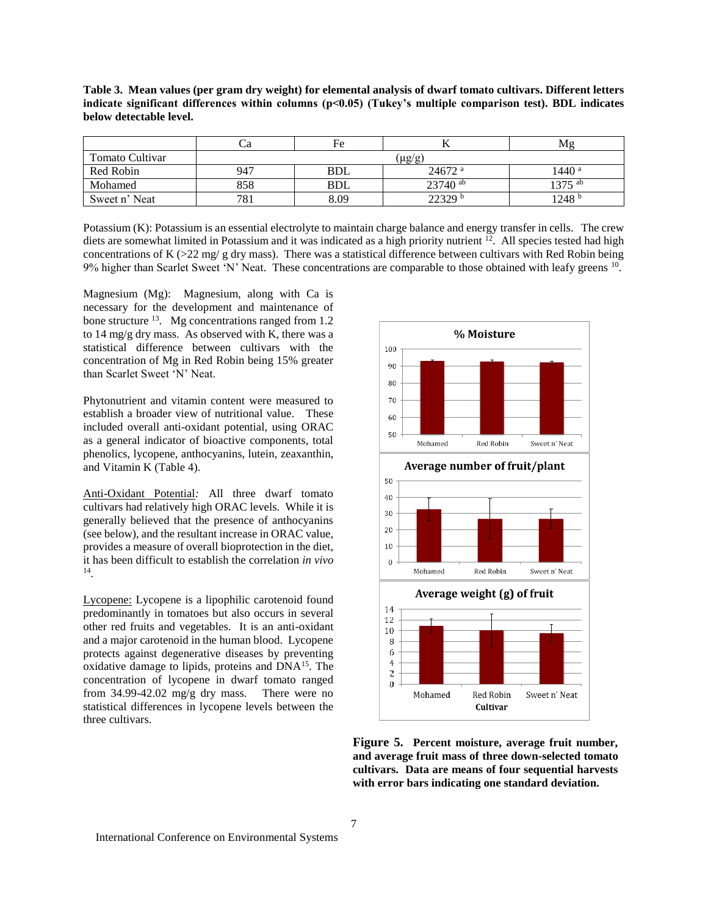|                 | Cа  | Fe         | ∸                    | Mε      |
|-----------------|-----|------------|----------------------|---------|
| Tomato Cultivar |     |            | (µg/g,               |         |
| Red Robin       | 947 | <b>BDL</b> | $24672$ <sup>a</sup> | 1440 a  |
| Mohamed         | 858 | <b>BDL</b> | $23740$ ab           | 1375 ab |
| Sweet n' Neat   | 781 | 8.09       | 22329 <sup>b</sup>   | 1248 b  |

**Table 3. Mean values (per gram dry weight) for elemental analysis of dwarf tomato cultivars. Different letters indicate significant differences within columns (p<0.05) (Tukey's multiple comparison test). BDL indicates below detectable level.**

Potassium (K): Potassium is an essential electrolyte to maintain charge balance and energy transfer in cells. The crew diets are somewhat limited in Potassium and it was indicated as a high priority nutrient  $^{12}$ . All species tested had high concentrations of K ( $>$ 22 mg/ g dry mass). There was a statistical difference between cultivars with Red Robin being  $9%$  higher than Scarlet Sweet 'N' Neat. These concentrations are comparable to those obtained with leafy greens  $^{10}$ .

Magnesium (Mg): Magnesium, along with Ca is necessary for the development and maintenance of bone structure  $^{13}$ . Mg concentrations ranged from 1.2 to 14 mg/g dry mass. As observed with K, there was a statistical difference between cultivars with the concentration of Mg in Red Robin being 15% greater than Scarlet Sweet 'N' Neat.

Phytonutrient and vitamin content were measured to establish a broader view of nutritional value. These included overall anti-oxidant potential, using ORAC as a general indicator of bioactive components, total phenolics, lycopene, anthocyanins, lutein, zeaxanthin, and Vitamin K (Table 4).

Anti-Oxidant Potential*:* All three dwarf tomato cultivars had relatively high ORAC levels. While it is generally believed that the presence of anthocyanins (see below), and the resultant increase in ORAC value, provides a measure of overall bioprotection in the diet, it has been difficult to establish the correlation *in vivo* 14 .

Lycopene: Lycopene is a lipophilic carotenoid found predominantly in tomatoes but also occurs in several other red fruits and vegetables. It is an anti-oxidant and a major carotenoid in the human blood. Lycopene protects against degenerative diseases by preventing oxidative damage to lipids, proteins and DNA<sup>15</sup>. The concentration of lycopene in dwarf tomato ranged from 34.99-42.02 mg/g dry mass. There were no statistical differences in lycopene levels between the three cultivars.



**Figure 5. Percent moisture, average fruit number, and average fruit mass of three down-selected tomato cultivars. Data are means of four sequential harvests with error bars indicating one standard deviation.**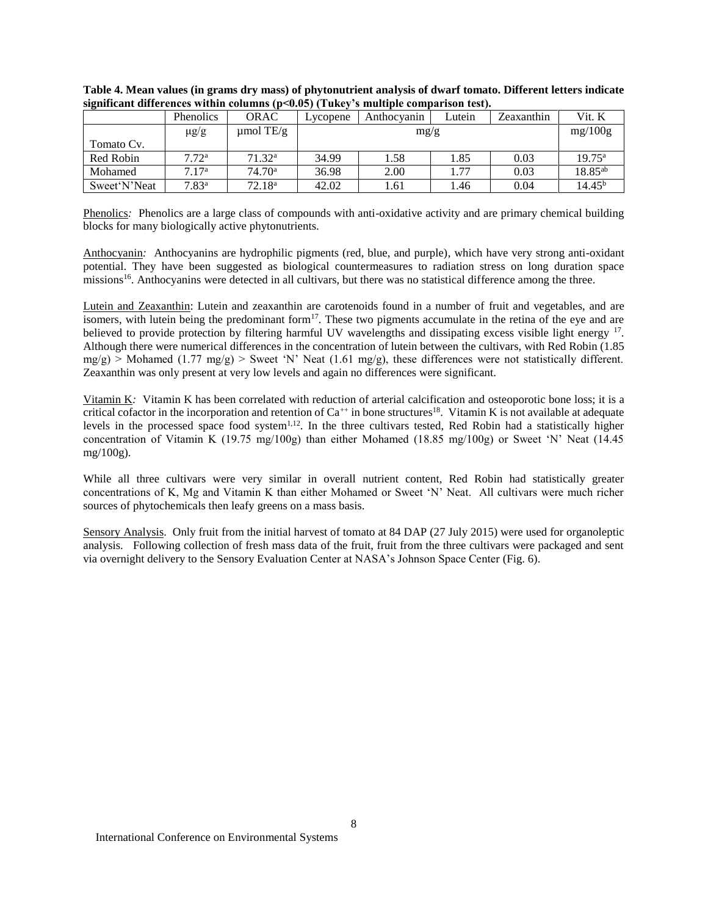| -              | Phenolics         | <b>ORAC</b>        | Lycopene | Anthocyanin | Lutein | Zeaxanthin | Vit. K          |
|----------------|-------------------|--------------------|----------|-------------|--------|------------|-----------------|
|                | $\mu$ g/g         | $\mu$ mol TE/g     | mg/g     |             |        |            | mg/100g         |
| Tomato Cv.     |                   |                    |          |             |        |            |                 |
| Red Robin      | 7.72 <sup>a</sup> | 71.32 <sup>a</sup> | 34.99    | 1.58        | 1.85   | 0.03       | $19.75^{\rm a}$ |
| Mohamed        | 7.17 <sup>a</sup> | 74.70 <sup>a</sup> | 36.98    | 2.00        | 1.77   | 0.03       | $18.85^{ab}$    |
| Sweet 'N' Neat | $7.83^{\rm a}$    | 72.18 <sup>a</sup> | 42.02    | 1.61        | l.46   | 0.04       | $14.45^{b}$     |

**Table 4. Mean values (in grams dry mass) of phytonutrient analysis of dwarf tomato. Different letters indicate significant differences within columns (p<0.05) (Tukey's multiple comparison test).**

Phenolics*:* Phenolics are a large class of compounds with anti-oxidative activity and are primary chemical building blocks for many biologically active phytonutrients.

Anthocyanin*:* Anthocyanins are hydrophilic pigments (red, blue, and purple), which have very strong anti-oxidant potential. They have been suggested as biological countermeasures to radiation stress on long duration space missions<sup>16</sup>. Anthocyanins were detected in all cultivars, but there was no statistical difference among the three.

Lutein and Zeaxanthin: Lutein and zeaxanthin are carotenoids found in a number of fruit and vegetables, and are isomers, with lutein being the predominant form<sup>17</sup>. These two pigments accumulate in the retina of the eye and are believed to provide protection by filtering harmful UV wavelengths and dissipating excess visible light energy <sup>17</sup>. Although there were numerical differences in the concentration of lutein between the cultivars, with Red Robin (1.85  $mg/g$ ) > Mohamed (1.77 mg/g) > Sweet 'N' Neat (1.61 mg/g), these differences were not statistically different. Zeaxanthin was only present at very low levels and again no differences were significant.

Vitamin K*:* Vitamin K has been correlated with reduction of arterial calcification and osteoporotic bone loss; it is a critical cofactor in the incorporation and retention of  $Ca^{++}$  in bone structures<sup>18</sup>. Vitamin K is not available at adequate levels in the processed space food system<sup>1,12</sup>. In the three cultivars tested, Red Robin had a statistically higher concentration of Vitamin K (19.75 mg/100g) than either Mohamed (18.85 mg/100g) or Sweet 'N' Neat (14.45 mg/100g).

While all three cultivars were very similar in overall nutrient content, Red Robin had statistically greater concentrations of K, Mg and Vitamin K than either Mohamed or Sweet 'N' Neat. All cultivars were much richer sources of phytochemicals then leafy greens on a mass basis.

Sensory Analysis. Only fruit from the initial harvest of tomato at 84 DAP (27 July 2015) were used for organoleptic analysis. Following collection of fresh mass data of the fruit, fruit from the three cultivars were packaged and sent via overnight delivery to the Sensory Evaluation Center at NASA's Johnson Space Center (Fig. 6).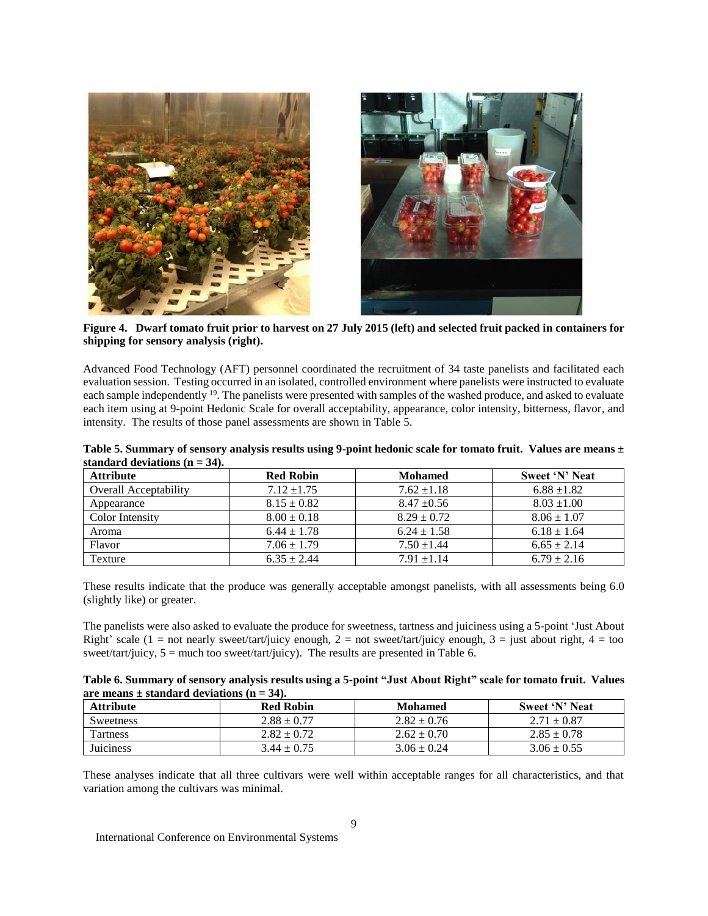

**Figure 4. Dwarf tomato fruit prior to harvest on 27 July 2015 (left) and selected fruit packed in containers for shipping for sensory analysis (right).**

Advanced Food Technology (AFT) personnel coordinated the recruitment of 34 taste panelists and facilitated each evaluation session. Testing occurred in an isolated, controlled environment where panelists were instructed to evaluate each sample independently <sup>19</sup>. The panelists were presented with samples of the washed produce, and asked to evaluate each item using at 9-point Hedonic Scale for overall acceptability, appearance, color intensity, bitterness, flavor, and intensity. The results of those panel assessments are shown in Table 5.

| Table 5. Summary of sensory analysis results using 9-point hedonic scale for tomato fruit. Values are means ± |  |
|---------------------------------------------------------------------------------------------------------------|--|
| standard deviations $(n = 34)$ .                                                                              |  |

| <b>Attribute</b>             | <b>Red Robin</b> | <b>Mohamed</b>  | Sweet 'N' Neat  |
|------------------------------|------------------|-----------------|-----------------|
| <b>Overall Acceptability</b> | $7.12 \pm 1.75$  | $7.62 \pm 1.18$ | $6.88 \pm 1.82$ |
| Appearance                   | $8.15 \pm 0.82$  | $8.47 \pm 0.56$ | $8.03 \pm 1.00$ |
| Color Intensity              | $8.00 \pm 0.18$  | $8.29 \pm 0.72$ | $8.06 \pm 1.07$ |
| Aroma                        | $6.44 \pm 1.78$  | $6.24 \pm 1.58$ | $6.18 \pm 1.64$ |
| Flavor                       | $7.06 \pm 1.79$  | $7.50 + 1.44$   | $6.65 \pm 2.14$ |
| Texture                      | $6.35 \pm 2.44$  | $7.91 + 1.14$   | $6.79 \pm 2.16$ |

These results indicate that the produce was generally acceptable amongst panelists, with all assessments being 6.0 (slightly like) or greater.

The panelists were also asked to evaluate the produce for sweetness, tartness and juiciness using a 5-point 'Just About Right' scale (1 = not nearly sweet/tart/juicy enough, 2 = not sweet/tart/juicy enough, 3 = just about right, 4 = too sweet/tart/juicy,  $5 =$  much too sweet/tart/juicy). The results are presented in Table 6.

| Table 6. Summary of sensory analysis results using a 5-point "Just About Right" scale for tomato fruit. Values |  |
|----------------------------------------------------------------------------------------------------------------|--|
| are means $\pm$ standard deviations (n = 34).                                                                  |  |

| <b>Attribute</b> | <b>Red Robin</b> | <b>Mohamed</b>  | Sweet 'N' Neat  |
|------------------|------------------|-----------------|-----------------|
| <b>Sweetness</b> | $2.88 \pm 0.77$  | $2.82 \pm 0.76$ | $2.71 \pm 0.87$ |
| Tartness         | $2.82 \pm 0.72$  | $2.62 \pm 0.70$ | $2.85 \pm 0.78$ |
| <b>Juiciness</b> | $3.44 \pm 0.75$  | $3.06 \pm 0.24$ | $3.06 \pm 0.55$ |

These analyses indicate that all three cultivars were well within acceptable ranges for all characteristics, and that variation among the cultivars was minimal.

International Conference on Environmental Systems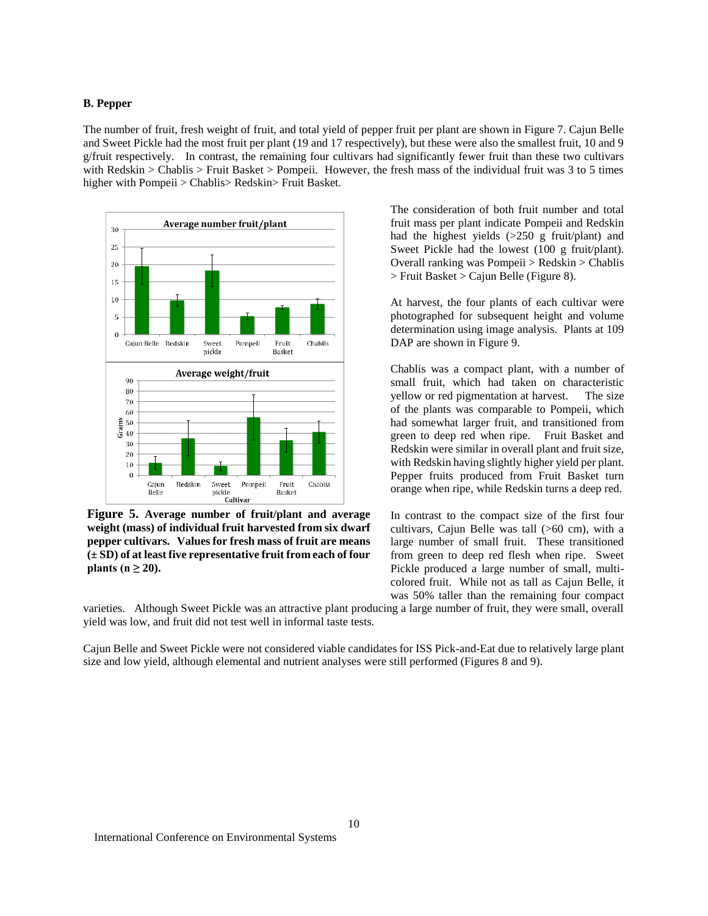### **B. Pepper**

The number of fruit, fresh weight of fruit, and total yield of pepper fruit per plant are shown in Figure 7. Cajun Belle and Sweet Pickle had the most fruit per plant (19 and 17 respectively), but these were also the smallest fruit, 10 and 9 g/fruit respectively. In contrast, the remaining four cultivars had significantly fewer fruit than these two cultivars with Redskin > Chablis > Fruit Basket > Pompeii. However, the fresh mass of the individual fruit was 3 to 5 times higher with Pompeii > Chablis> Redskin> Fruit Basket.



**Figure 5. Average number of fruit/plant and average weight (mass) of individual fruit harvested from six dwarf pepper cultivars. Values for fresh mass of fruit are means (± SD) of at least five representative fruit from each of four plants (n ≥ 20).**

The consideration of both fruit number and total fruit mass per plant indicate Pompeii and Redskin had the highest yields (>250 g fruit/plant) and Sweet Pickle had the lowest (100 g fruit/plant). Overall ranking was Pompeii > Redskin > Chablis > Fruit Basket > Cajun Belle (Figure 8).

At harvest, the four plants of each cultivar were photographed for subsequent height and volume determination using image analysis. Plants at 109 DAP are shown in Figure 9.

Chablis was a compact plant, with a number of small fruit, which had taken on characteristic yellow or red pigmentation at harvest. The size of the plants was comparable to Pompeii, which had somewhat larger fruit, and transitioned from green to deep red when ripe. Fruit Basket and Redskin were similar in overall plant and fruit size, with Redskin having slightly higher yield per plant. Pepper fruits produced from Fruit Basket turn orange when ripe, while Redskin turns a deep red.

In contrast to the compact size of the first four cultivars, Cajun Belle was tall (>60 cm), with a large number of small fruit. These transitioned from green to deep red flesh when ripe. Sweet Pickle produced a large number of small, multicolored fruit. While not as tall as Cajun Belle, it was 50% taller than the remaining four compact

varieties. Although Sweet Pickle was an attractive plant producing a large number of fruit, they were small, overall yield was low, and fruit did not test well in informal taste tests.

Cajun Belle and Sweet Pickle were not considered viable candidates for ISS Pick-and-Eat due to relatively large plant size and low yield, although elemental and nutrient analyses were still performed (Figures 8 and 9).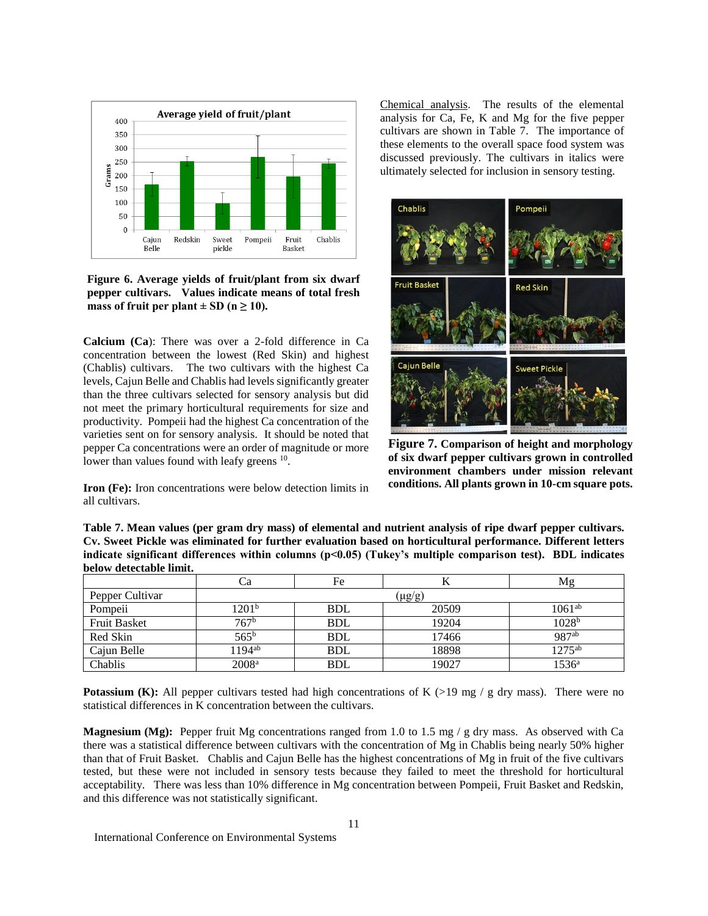

**Figure 6. Average yields of fruit/plant from six dwarf pepper cultivars. Values indicate means of total fresh**  mass of fruit per plant  $\pm$  SD (n  $\geq$  10).

**Calcium (Ca**): There was over a 2-fold difference in Ca concentration between the lowest (Red Skin) and highest (Chablis) cultivars. The two cultivars with the highest Ca levels, Cajun Belle and Chablis had levels significantly greater than the three cultivars selected for sensory analysis but did not meet the primary horticultural requirements for size and productivity. Pompeii had the highest Ca concentration of the varieties sent on for sensory analysis. It should be noted that pepper Ca concentrations were an order of magnitude or more lower than values found with leafy greens <sup>10</sup>.

**Iron (Fe):** Iron concentrations were below detection limits in all cultivars.

Chemical analysis. The results of the elemental analysis for Ca, Fe, K and Mg for the five pepper cultivars are shown in Table 7. The importance of these elements to the overall space food system was discussed previously. The cultivars in italics were ultimately selected for inclusion in sensory testing.



**Figure 7. Comparison of height and morphology of six dwarf pepper cultivars grown in controlled environment chambers under mission relevant conditions. All plants grown in 10-cm square pots.**

**Table 7. Mean values (per gram dry mass) of elemental and nutrient analysis of ripe dwarf pepper cultivars. Cv. Sweet Pickle was eliminated for further evaluation based on horticultural performance. Different letters indicate significant differences within columns (p<0.05) (Tukey's multiple comparison test). BDL indicates below detectable limit.** 

|                     | د.                 | Fe         | T7     | Μg                 |
|---------------------|--------------------|------------|--------|--------------------|
| Pepper Cultivar     |                    |            | (µg/g) |                    |
| Pompeii             | $1201^{\rm b}$     | <b>BDL</b> | 20509  | $1061^{ab}$        |
| <b>Fruit Basket</b> | 767 <sup>b</sup>   | <b>BDL</b> | 19204  | 1028 <sup>b</sup>  |
| Red Skin            | $565^{\rm b}$      | <b>BDL</b> | 17466  | 987ab              |
| Cajun Belle         | 1194 <sup>ab</sup> | <b>BDL</b> | 18898  | $1275^{\text{ab}}$ |
| Chablis             | 2008 <sup>a</sup>  | <b>BDL</b> | 19027  | $1536^{\circ}$     |

**Potassium (K):** All pepper cultivars tested had high concentrations of K  $(>19 \text{ mg } / \text{g dry mass})$ . There were no statistical differences in K concentration between the cultivars.

**Magnesium (Mg):** Pepper fruit Mg concentrations ranged from 1.0 to 1.5 mg / g dry mass. As observed with Ca there was a statistical difference between cultivars with the concentration of Mg in Chablis being nearly 50% higher than that of Fruit Basket. Chablis and Cajun Belle has the highest concentrations of Mg in fruit of the five cultivars tested, but these were not included in sensory tests because they failed to meet the threshold for horticultural acceptability. There was less than 10% difference in Mg concentration between Pompeii, Fruit Basket and Redskin, and this difference was not statistically significant.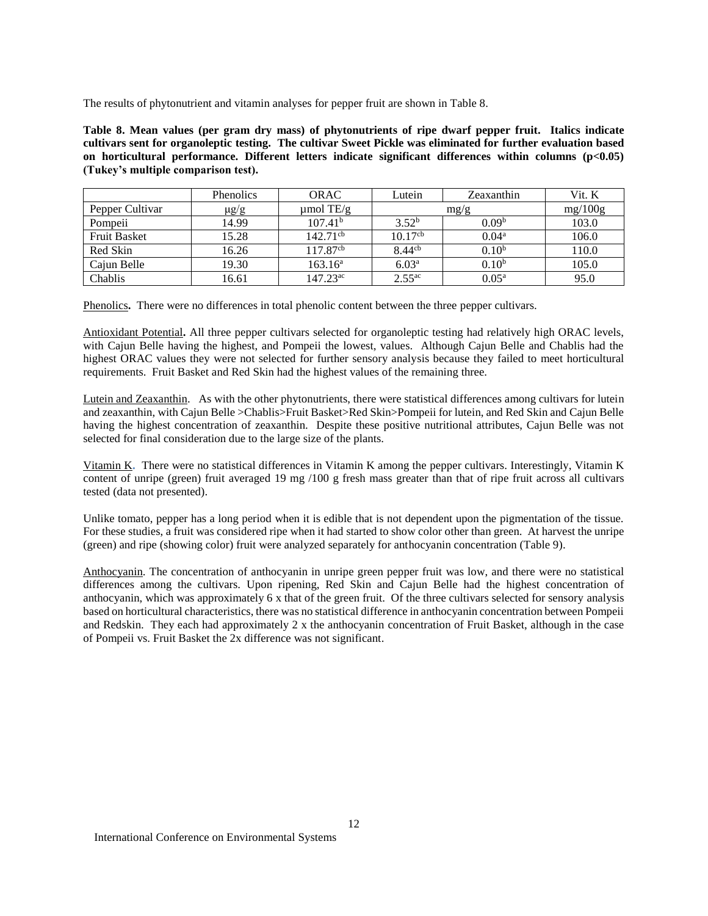The results of phytonutrient and vitamin analyses for pepper fruit are shown in Table 8.

**Table 8. Mean values (per gram dry mass) of phytonutrients of ripe dwarf pepper fruit. Italics indicate cultivars sent for organoleptic testing. The cultivar Sweet Pickle was eliminated for further evaluation based on horticultural performance. Different letters indicate significant differences within columns (p<0.05) (Tukey's multiple comparison test).**

|                     | <b>Phenolics</b> | <b>ORAC</b>          | Lutein              | Zeaxanthin        | Vit. K  |
|---------------------|------------------|----------------------|---------------------|-------------------|---------|
| Pepper Cultivar     | $\mu$ g/g        | $\mu$ mol TE/g       | mg/g                |                   | mg/100g |
| Pompeii             | 14.99            | $107.41^{b}$         | $3.52^{b}$          | 0.09 <sup>b</sup> | 103.0   |
| <b>Fruit Basket</b> | 15.28            | $142.71^{\text{cb}}$ | 10.17 <sup>cb</sup> | $0.04^{\rm a}$    | 106.0   |
| Red Skin            | 16.26            | 117.87 <sup>cb</sup> | 8.44 <sup>cb</sup>  | $0.10^{b}$        | 110.0   |
| Cajun Belle         | 19.30            | $163.16^a$           | 6.03 <sup>a</sup>   | $0.10^{b}$        | 105.0   |
| Chablis             | 16.61            | $147.23^{\text{ac}}$ | 2.55 <sup>ac</sup>  | $0.05^{\rm a}$    | 95.0    |

Phenolics**.** There were no differences in total phenolic content between the three pepper cultivars.

Antioxidant Potential**.** All three pepper cultivars selected for organoleptic testing had relatively high ORAC levels, with Cajun Belle having the highest, and Pompeii the lowest, values. Although Cajun Belle and Chablis had the highest ORAC values they were not selected for further sensory analysis because they failed to meet horticultural requirements. Fruit Basket and Red Skin had the highest values of the remaining three.

Lutein and Zeaxanthin. As with the other phytonutrients, there were statistical differences among cultivars for lutein and zeaxanthin, with Cajun Belle >Chablis>Fruit Basket>Red Skin>Pompeii for lutein, and Red Skin and Cajun Belle having the highest concentration of zeaxanthin. Despite these positive nutritional attributes, Cajun Belle was not selected for final consideration due to the large size of the plants.

Vitamin K**.** There were no statistical differences in Vitamin K among the pepper cultivars. Interestingly, Vitamin K content of unripe (green) fruit averaged 19 mg /100 g fresh mass greater than that of ripe fruit across all cultivars tested (data not presented).

Unlike tomato, pepper has a long period when it is edible that is not dependent upon the pigmentation of the tissue. For these studies, a fruit was considered ripe when it had started to show color other than green. At harvest the unripe (green) and ripe (showing color) fruit were analyzed separately for anthocyanin concentration (Table 9).

Anthocyanin. The concentration of anthocyanin in unripe green pepper fruit was low, and there were no statistical differences among the cultivars. Upon ripening, Red Skin and Cajun Belle had the highest concentration of anthocyanin, which was approximately 6 x that of the green fruit. Of the three cultivars selected for sensory analysis based on horticultural characteristics, there was no statistical difference in anthocyanin concentration between Pompeii and Redskin. They each had approximately 2 x the anthocyanin concentration of Fruit Basket, although in the case of Pompeii vs. Fruit Basket the 2x difference was not significant.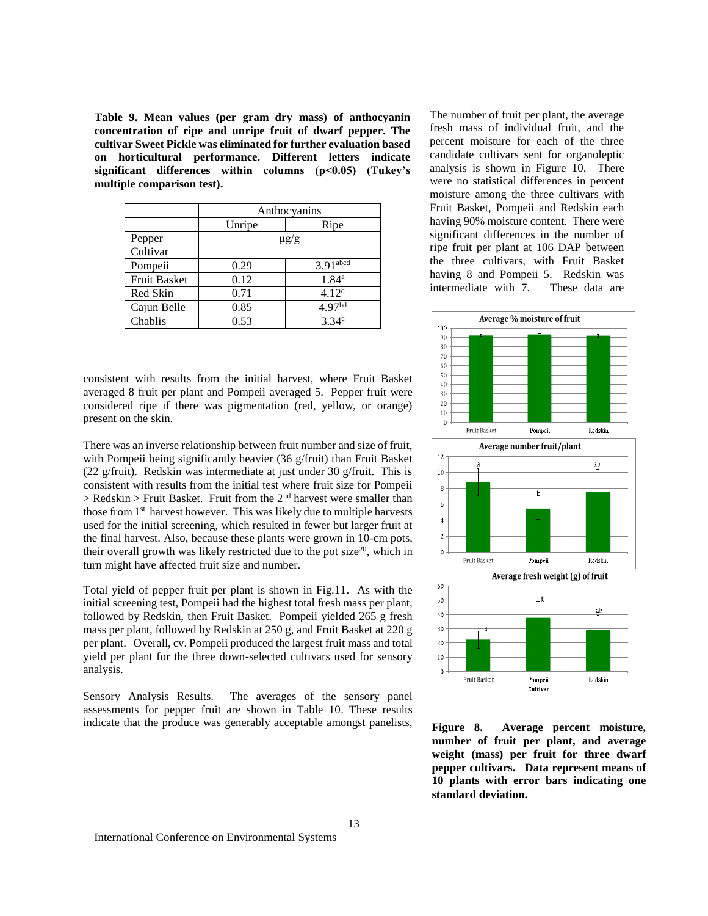**Table 9. Mean values (per gram dry mass) of anthocyanin concentration of ripe and unripe fruit of dwarf pepper. The cultivar Sweet Pickle was eliminated for further evaluation based on horticultural performance. Different letters indicate significant differences within columns (p<0.05) (Tukey's multiple comparison test).** 

|                     | Anthocyanins |                        |  |
|---------------------|--------------|------------------------|--|
|                     | Unripe       | Ripe                   |  |
| Pepper<br>Cultivar  |              | $\mu$ g/g              |  |
| Pompeii             | 0.29         | $3.91$ <sub>abcd</sub> |  |
| <b>Fruit Basket</b> | 0.12         | $1.84^{a}$             |  |
| Red Skin            | 0.71         | 4.12 <sup>d</sup>      |  |
| Cajun Belle         | 0.85         | 4.97 <sup>bd</sup>     |  |
| Chablis             | 0.53         | $3.34^{\circ}$         |  |

consistent with results from the initial harvest, where Fruit Basket averaged 8 fruit per plant and Pompeii averaged 5. Pepper fruit were considered ripe if there was pigmentation (red, yellow, or orange) present on the skin.

There was an inverse relationship between fruit number and size of fruit, with Pompeii being significantly heavier (36 g/fruit) than Fruit Basket (22 g/fruit). Redskin was intermediate at just under 30 g/fruit. This is consistent with results from the initial test where fruit size for Pompeii  $>$  Redskin  $>$  Fruit Basket. Fruit from the 2<sup>nd</sup> harvest were smaller than those from 1<sup>st</sup> harvest however. This was likely due to multiple harvests used for the initial screening, which resulted in fewer but larger fruit at the final harvest. Also, because these plants were grown in 10-cm pots, their overall growth was likely restricted due to the pot size $20$ , which in turn might have affected fruit size and number.

Total yield of pepper fruit per plant is shown in Fig.11. As with the initial screening test, Pompeii had the highest total fresh mass per plant, followed by Redskin, then Fruit Basket. Pompeii yielded 265 g fresh mass per plant, followed by Redskin at 250 g, and Fruit Basket at 220 g per plant. Overall, cv. Pompeii produced the largest fruit mass and total yield per plant for the three down-selected cultivars used for sensory analysis.

Sensory Analysis Results. The averages of the sensory panel assessments for pepper fruit are shown in Table 10. These results indicate that the produce was generably acceptable amongst panelists,

The number of fruit per plant, the average fresh mass of individual fruit, and the percent moisture for each of the three candidate cultivars sent for organoleptic analysis is shown in Figure 10.There were no statistical differences in percent moisture among the three cultivars with Fruit Basket, Pompeii and Redskin each having 90% moisture content. There were significant differences in the number of ripe fruit per plant at 106 DAP between the three cultivars, with Fruit Basket having 8 and Pompeii 5. Redskin was intermediate with 7. These data are



**Figure 8. Average percent moisture, number of fruit per plant, and average weight (mass) per fruit for three dwarf pepper cultivars. Data represent means of 10 plants with error bars indicating one standard deviation.**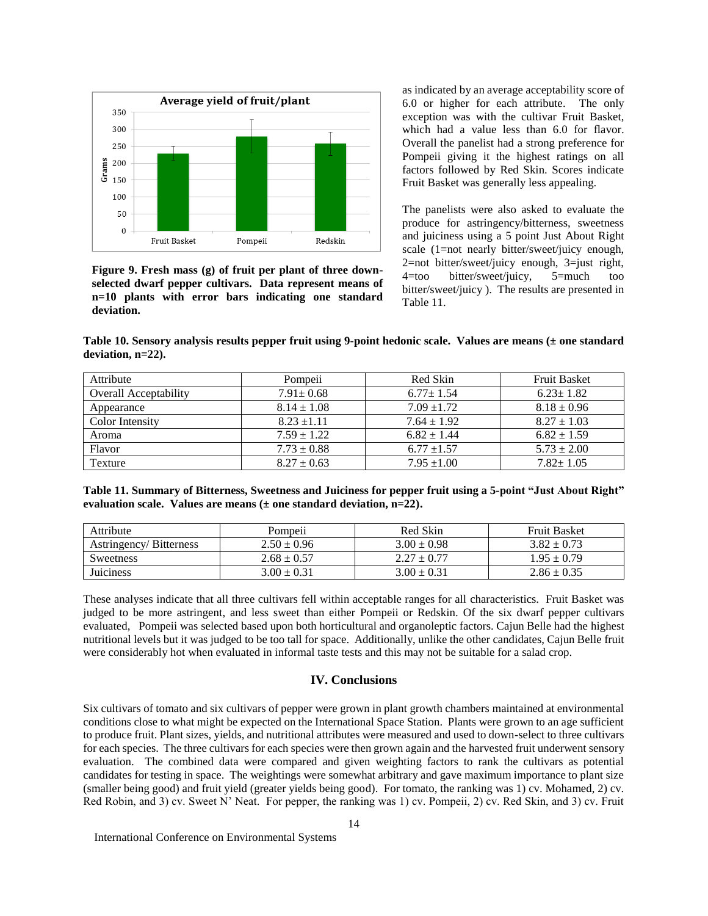

**Figure 9. Fresh mass (g) of fruit per plant of three downselected dwarf pepper cultivars. Data represent means of n=10 plants with error bars indicating one standard deviation.**

as indicated by an average acceptability score of 6.0 or higher for each attribute. The only exception was with the cultivar Fruit Basket, which had a value less than 6.0 for flavor. Overall the panelist had a strong preference for Pompeii giving it the highest ratings on all factors followed by Red Skin. Scores indicate Fruit Basket was generally less appealing.

The panelists were also asked to evaluate the produce for astringency/bitterness, sweetness and juiciness using a 5 point Just About Right scale (1=not nearly bitter/sweet/juicy enough, 2=not bitter/sweet/juicy enough, 3=just right, 4=too bitter/sweet/juicy, 5=much too bitter/sweet/juicy ). The results are presented in Table 11.

**Table 10. Sensory analysis results pepper fruit using 9-point hedonic scale. Values are means (± one standard deviation, n=22).**

| Attribute                    | Pompeii         | Red Skin        | <b>Fruit Basket</b> |
|------------------------------|-----------------|-----------------|---------------------|
| <b>Overall Acceptability</b> | $7.91 \pm 0.68$ | $6.77 \pm 1.54$ | $6.23 \pm 1.82$     |
| Appearance                   | $8.14 \pm 1.08$ | $7.09 \pm 1.72$ | $8.18 \pm 0.96$     |
| Color Intensity              | $8.23 \pm 1.11$ | $7.64 \pm 1.92$ | $8.27 \pm 1.03$     |
| Aroma                        | $7.59 \pm 1.22$ | $6.82 \pm 1.44$ | $6.82 \pm 1.59$     |
| Flavor                       | $7.73 \pm 0.88$ | $6.77 \pm 1.57$ | $5.73 \pm 2.00$     |
| Texture                      | $8.27 \pm 0.63$ | $7.95 \pm 1.00$ | $7.82 \pm 1.05$     |

**Table 11. Summary of Bitterness, Sweetness and Juiciness for pepper fruit using a 5-point "Just About Right" evaluation scale. Values are means (± one standard deviation, n=22).**

| Attribute                     | $\cdot \cdot$<br>Pompeii | Red Skin        | <b>Fruit Basket</b> |
|-------------------------------|--------------------------|-----------------|---------------------|
| <b>Astringency/Bitterness</b> | $2.50 \pm 0.96$          | $3.00 \pm 0.98$ | $3.82 + 0.73$       |
| <b>Sweetness</b>              | $2.68 \pm 0.57$          | $2.27 \pm 0.77$ | $1.95 \pm 0.79$     |
| <b>Juiciness</b>              | $3.00 + 0.31$            | $3.00 + 0.31$   | $2.86 \pm 0.35$     |

These analyses indicate that all three cultivars fell within acceptable ranges for all characteristics. Fruit Basket was judged to be more astringent, and less sweet than either Pompeii or Redskin. Of the six dwarf pepper cultivars evaluated, Pompeii was selected based upon both horticultural and organoleptic factors. Cajun Belle had the highest nutritional levels but it was judged to be too tall for space. Additionally, unlike the other candidates, Cajun Belle fruit were considerably hot when evaluated in informal taste tests and this may not be suitable for a salad crop.

# **IV. Conclusions**

Six cultivars of tomato and six cultivars of pepper were grown in plant growth chambers maintained at environmental conditions close to what might be expected on the International Space Station. Plants were grown to an age sufficient to produce fruit. Plant sizes, yields, and nutritional attributes were measured and used to down-select to three cultivars for each species. The three cultivars for each species were then grown again and the harvested fruit underwent sensory evaluation. The combined data were compared and given weighting factors to rank the cultivars as potential candidates for testing in space. The weightings were somewhat arbitrary and gave maximum importance to plant size (smaller being good) and fruit yield (greater yields being good). For tomato, the ranking was 1) cv. Mohamed, 2) cv. Red Robin, and 3) cv. Sweet N' Neat. For pepper, the ranking was 1) cv. Pompeii, 2) cv. Red Skin, and 3) cv. Fruit